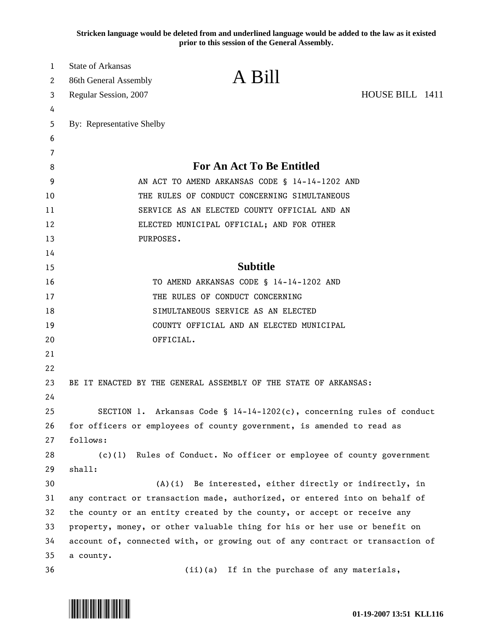**Stricken language would be deleted from and underlined language would be added to the law as it existed prior to this session of the General Assembly.**

| 1  | <b>State of Arkansas</b>                                                     |                                                                          |                 |
|----|------------------------------------------------------------------------------|--------------------------------------------------------------------------|-----------------|
| 2  | 86th General Assembly                                                        | A Bill                                                                   |                 |
| 3  | Regular Session, 2007                                                        |                                                                          | HOUSE BILL 1411 |
| 4  |                                                                              |                                                                          |                 |
| 5  | By: Representative Shelby                                                    |                                                                          |                 |
| 6  |                                                                              |                                                                          |                 |
| 7  |                                                                              |                                                                          |                 |
| 8  | <b>For An Act To Be Entitled</b>                                             |                                                                          |                 |
| 9  | AN ACT TO AMEND ARKANSAS CODE § 14-14-1202 AND                               |                                                                          |                 |
| 10 | THE RULES OF CONDUCT CONCERNING SIMULTANEOUS                                 |                                                                          |                 |
| 11 | SERVICE AS AN ELECTED COUNTY OFFICIAL AND AN                                 |                                                                          |                 |
| 12 | ELECTED MUNICIPAL OFFICIAL; AND FOR OTHER                                    |                                                                          |                 |
| 13 | PURPOSES.                                                                    |                                                                          |                 |
| 14 |                                                                              |                                                                          |                 |
| 15 | <b>Subtitle</b>                                                              |                                                                          |                 |
| 16 | TO AMEND ARKANSAS CODE § 14-14-1202 AND                                      |                                                                          |                 |
| 17 | THE RULES OF CONDUCT CONCERNING                                              |                                                                          |                 |
| 18 | SIMULTANEOUS SERVICE AS AN ELECTED                                           |                                                                          |                 |
| 19 |                                                                              | COUNTY OFFICIAL AND AN ELECTED MUNICIPAL                                 |                 |
| 20 | OFFICIAL.                                                                    |                                                                          |                 |
| 21 |                                                                              |                                                                          |                 |
| 22 |                                                                              |                                                                          |                 |
| 23 |                                                                              | BE IT ENACTED BY THE GENERAL ASSEMBLY OF THE STATE OF ARKANSAS:          |                 |
| 24 |                                                                              |                                                                          |                 |
| 25 |                                                                              | SECTION 1. Arkansas Code § $14-14-1202(c)$ , concerning rules of conduct |                 |
| 26 | for officers or employees of county government, is amended to read as        |                                                                          |                 |
| 27 | follows:                                                                     |                                                                          |                 |
| 28 |                                                                              | (c)(1) Rules of Conduct. No officer or employee of county government     |                 |
| 29 | shall:                                                                       |                                                                          |                 |
| 30 | (A)(i) Be interested, either directly or indirectly, in                      |                                                                          |                 |
| 31 | any contract or transaction made, authorized, or entered into on behalf of   |                                                                          |                 |
| 32 | the county or an entity created by the county, or accept or receive any      |                                                                          |                 |
| 33 | property, money, or other valuable thing for his or her use or benefit on    |                                                                          |                 |
| 34 | account of, connected with, or growing out of any contract or transaction of |                                                                          |                 |
| 35 | a county.                                                                    |                                                                          |                 |
| 36 |                                                                              | (ii)(a) If in the purchase of any materials,                             |                 |